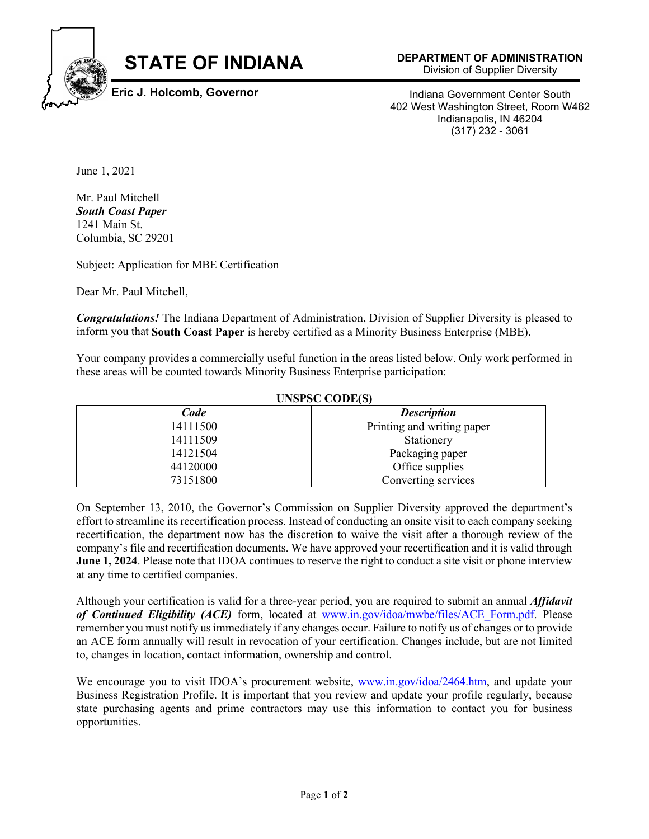

Indiana Government Center South

402 West Washington Street, Room W462 Indianapolis, IN 46204 (317) 232 - 3061

June 1, 2021

Mr. Paul Mitchell *South Coast Paper* 1241 Main St. Columbia, SC 29201

Subject: Application for MBE Certification

Dear Mr. Paul Mitchell,

*Congratulations!* The Indiana Department of Administration, Division of Supplier Diversity is pleased to inform you that **South Coast Paper** is hereby certified as a Minority Business Enterprise (MBE).

Your company provides a commercially useful function in the areas listed below. Only work performed in these areas will be counted towards Minority Business Enterprise participation:

## **UNSPSC CODE(S)**

| Code     | <b>Description</b>         |
|----------|----------------------------|
| 14111500 | Printing and writing paper |
| 14111509 | Stationery                 |
| 14121504 | Packaging paper            |
| 44120000 | Office supplies            |
| 73151800 | Converting services        |

On September 13, 2010, the Governor's Commission on Supplier Diversity approved the department's effort to streamline its recertification process. Instead of conducting an onsite visit to each company seeking recertification, the department now has the discretion to waive the visit after a thorough review of the company's file and recertification documents. We have approved your recertification and it is valid through **June 1, 2024**. Please note that IDOA continues to reserve the right to conduct a site visit or phone interview at any time to certified companies.

Although your certification is valid for a three-year period, you are required to submit an annual *Affidavit of Continued Eligibility (ACE)* form, located at [www.in.gov/idoa/mwbe/files/ACE\\_Form.pdf.](http://www.in.gov/idoa/mwbe/files/ACE_Form.pdf) Please remember you must notify us immediately if any changes occur. Failure to notify us of changes or to provide an ACE form annually will result in revocation of your certification. Changes include, but are not limited to, changes in location, contact information, ownership and control.

We encourage you to visit IDOA's procurement website, [www.in.gov/idoa/2464.htm,](http://www.in.gov/idoa/2464.htm) and update your Business Registration Profile. It is important that you review and update your profile regularly, because state purchasing agents and prime contractors may use this information to contact you for business opportunities.